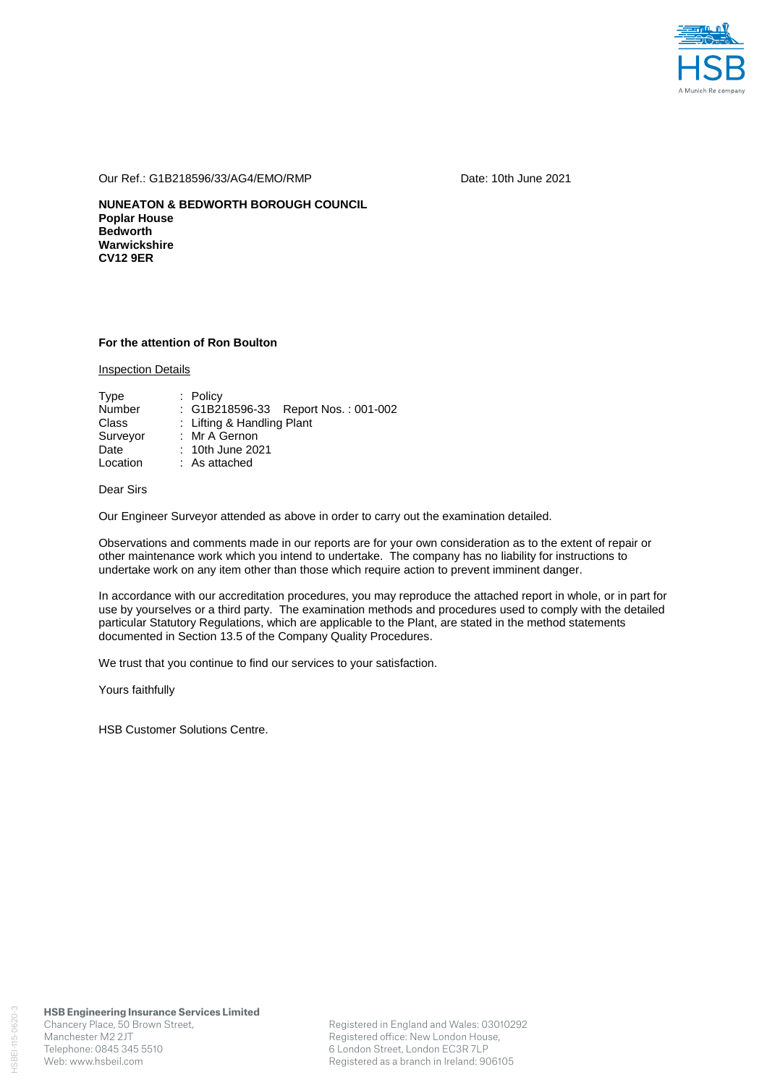

Our Ref.: G1B218596/33/AG4/EMO/RMP Date: 10th June 2021

**NUNEATON & BEDWORTH BOROUGH COUNCIL Poplar House Bedworth Warwickshire CV12 9ER** 

### **For the attention of Ron Boulton**

Inspection Details

| Type          | $:$ Policy                          |
|---------------|-------------------------------------|
| <b>Number</b> | : G1B218596-33 Report Nos.: 001-002 |
| Class         | : Lifting & Handling Plant          |
| Surveyor      | : Mr A Gernon                       |
| Date          | : 10th June 2021                    |
| Location      | : As attached                       |

# Dear Sirs

Our Engineer Surveyor attended as above in order to carry out the examination detailed.

Observations and comments made in our reports are for your own consideration as to the extent of repair or other maintenance work which you intend to undertake. The company has no liability for instructions to undertake work on any item other than those which require action to prevent imminent danger.

In accordance with our accreditation procedures, you may reproduce the attached report in whole, or in part for use by yourselves or a third party. The examination methods and procedures used to comply with the detailed particular Statutory Regulations, which are applicable to the Plant, are stated in the method statements documented in Section 13.5 of the Company Quality Procedures.

We trust that you continue to find our services to your satisfaction.

Yours faithfully

HSB Customer Solutions Centre.

**HSB Engineering Insurance Services Limited** Chancery Place, 50 Brown Street, Manchester M2 2JT Telephone: 0845 345 5510 Web: www.hsbeil.com

Registered in England and Wales: 03010292 Registered office: New London House, 6 London Street, London EC3R 7LP Registered as a branch in Ireland: 906105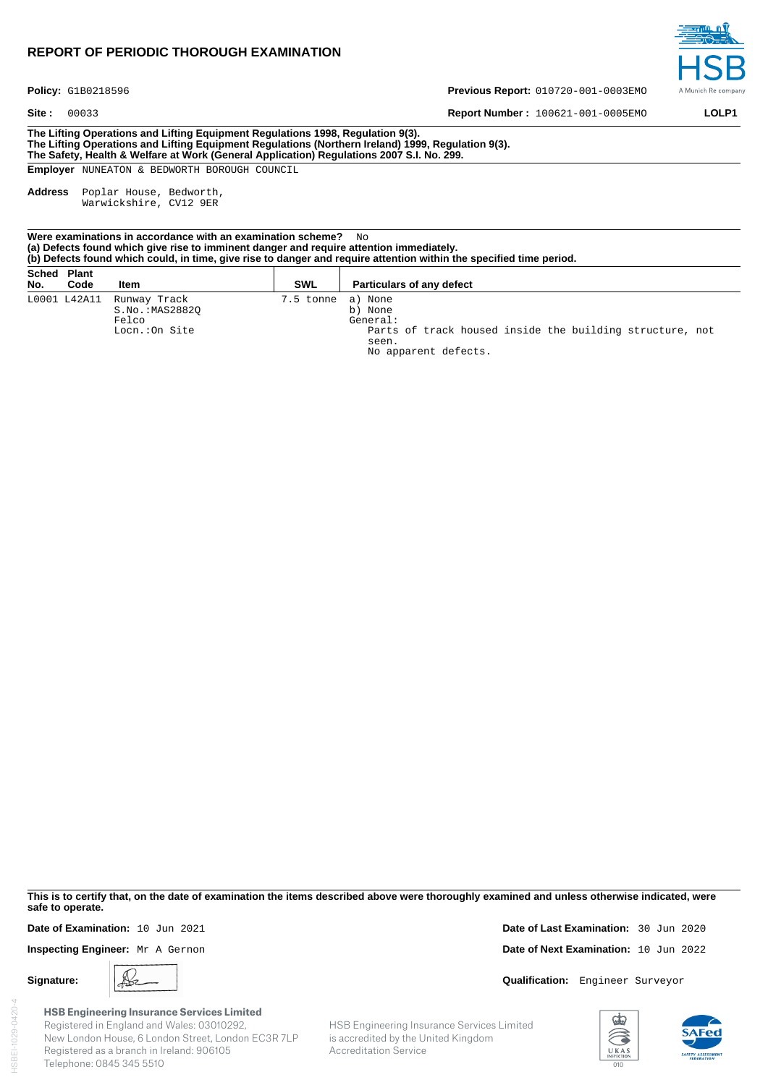# **REPORT OF PERIODIC THOROUGH EXAMINATION**



Policy: G1B0218596

**Site :** 00033 **LOLP1 Report Number :** 100621-001-0005EMO **LOLP1** 

**Previous Report:** 010720-001-0003EMO

**The Lifting Operations and Lifting Equipment Regulations 1998, Regulation 9(3). The Lifting Operations and Lifting Equipment Regulations (Northern Ireland) 1999, Regulation 9(3). The Safety, Health & Welfare at Work (General Application) Regulations 2007 S.I. No. 299.** 

**Employer** NUNEATON & BEDWORTH BOROUGH COUNCIL

**Address** Poplar House, Bedworth, Warwickshire, CV12 9ER

| Were examinations in accordance with an examination scheme? $\Box$ $\Box$<br>(a) Defects found which give rise to imminent danger and require attention immediately.<br>(b) Defects found which could, in time, give rise to danger and require attention within the specified time period. |              |                                                           |                   |                                                                                                                  |  |  |  |  |  |  |
|---------------------------------------------------------------------------------------------------------------------------------------------------------------------------------------------------------------------------------------------------------------------------------------------|--------------|-----------------------------------------------------------|-------------------|------------------------------------------------------------------------------------------------------------------|--|--|--|--|--|--|
| Sched Plant<br>No.                                                                                                                                                                                                                                                                          | Code         | Item                                                      | <b>SWL</b>        | <b>Particulars of any defect</b>                                                                                 |  |  |  |  |  |  |
|                                                                                                                                                                                                                                                                                             | L0001 L42A11 | Runway Track<br>S.No.:MAS28820<br>Felco<br>Locn.: On Site | 7.5 tonne a) None | b) None<br>General:<br>Parts of track housed inside the building structure, not<br>seen.<br>No apparent defects. |  |  |  |  |  |  |

**This is to certify that, on the date of examination the items described above were thoroughly examined and unless otherwise indicated, were safe to operate.** 

**HSB Engineering Insurance Services Limited** Registered in England and Wales: 03010292, New London House, 6 London Street, London EC3R 7LP Registered as a branch in Ireland: 906105 Telephone: 0845 345 5510

HSB Engineering Insurance Services Limited is accredited by the United Kingdom Accreditation Service

**Date of Examination:** 10 Jun 2021 **Date of Last Examination:** 30 Jun 2020 **Inspecting Engineer:** Mr A Gernon **Date of Next Examination:** 10 Jun 2022

**Signature: A**